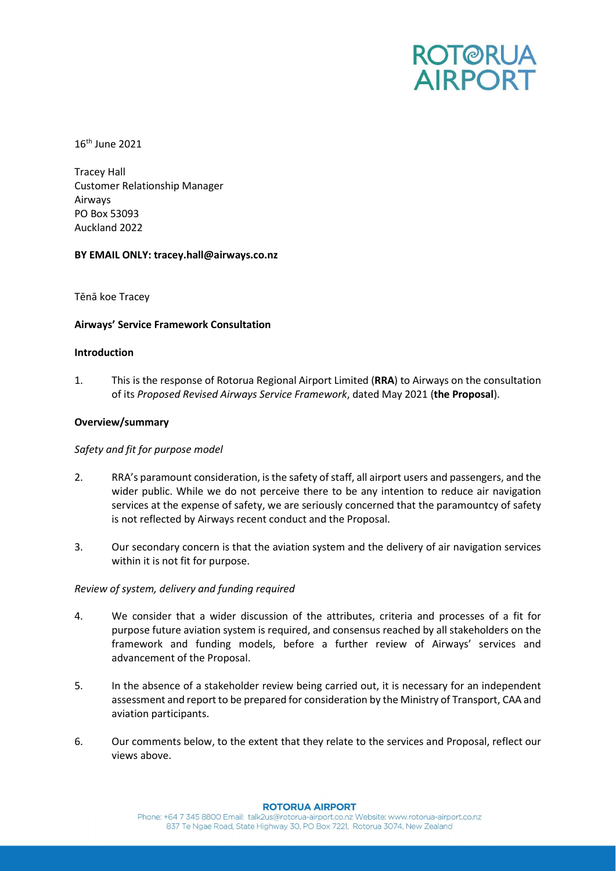

16th June 2021

Tracey Hall Customer Relationship Manager Airways PO Box 53093 Auckland 2022

# BY EMAIL ONLY: tracey.hall@airways.co.nz

Tēnā koe Tracey

# Airways' Service Framework Consultation

### Introduction

1. This is the response of Rotorua Regional Airport Limited (RRA) to Airways on the consultation of its Proposed Revised Airways Service Framework, dated May 2021 (the Proposal).

# Overview/summary

### Safety and fit for purpose model

- 2. RRA's paramount consideration, is the safety of staff, all airport users and passengers, and the wider public. While we do not perceive there to be any intention to reduce air navigation services at the expense of safety, we are seriously concerned that the paramountcy of safety is not reflected by Airways recent conduct and the Proposal.
- 3. Our secondary concern is that the aviation system and the delivery of air navigation services within it is not fit for purpose.

### Review of system, delivery and funding required

- 4. We consider that a wider discussion of the attributes, criteria and processes of a fit for purpose future aviation system is required, and consensus reached by all stakeholders on the framework and funding models, before a further review of Airways' services and advancement of the Proposal.
- 5. In the absence of a stakeholder review being carried out, it is necessary for an independent assessment and report to be prepared for consideration by the Ministry of Transport, CAA and aviation participants.
- 6. Our comments below, to the extent that they relate to the services and Proposal, reflect our views above.

# **ROTORUA AIRPORT**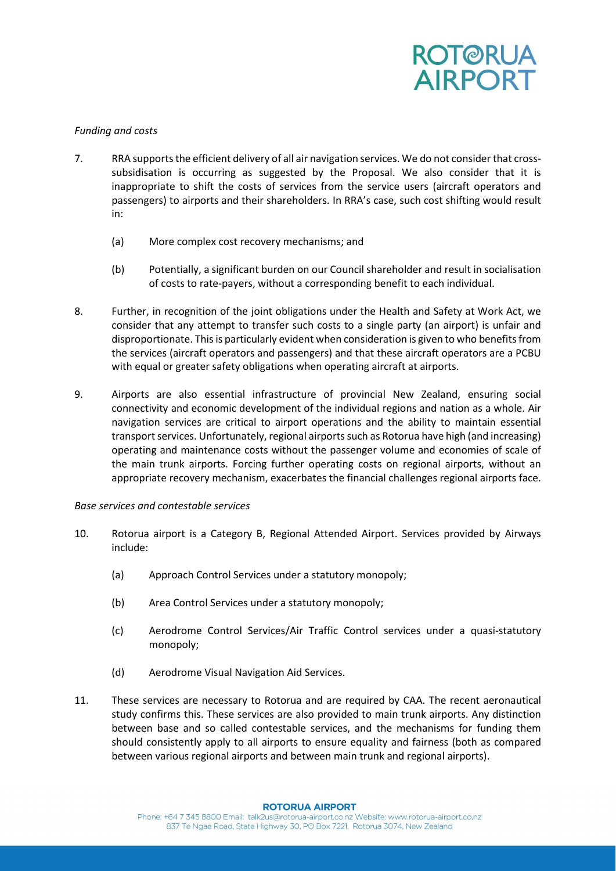

# Funding and costs

- 7. RRA supports the efficient delivery of all air navigation services. We do not consider that crosssubsidisation is occurring as suggested by the Proposal. We also consider that it is inappropriate to shift the costs of services from the service users (aircraft operators and passengers) to airports and their shareholders. In RRA's case, such cost shifting would result in:
	- (a) More complex cost recovery mechanisms; and
	- (b) Potentially, a significant burden on our Council shareholder and result in socialisation of costs to rate-payers, without a corresponding benefit to each individual.
- 8. Further, in recognition of the joint obligations under the Health and Safety at Work Act, we consider that any attempt to transfer such costs to a single party (an airport) is unfair and disproportionate. This is particularly evident when consideration is given to who benefits from the services (aircraft operators and passengers) and that these aircraft operators are a PCBU with equal or greater safety obligations when operating aircraft at airports.
- 9. Airports are also essential infrastructure of provincial New Zealand, ensuring social connectivity and economic development of the individual regions and nation as a whole. Air navigation services are critical to airport operations and the ability to maintain essential transport services. Unfortunately, regional airports such as Rotorua have high (and increasing) operating and maintenance costs without the passenger volume and economies of scale of the main trunk airports. Forcing further operating costs on regional airports, without an appropriate recovery mechanism, exacerbates the financial challenges regional airports face.

### Base services and contestable services

- 10. Rotorua airport is a Category B, Regional Attended Airport. Services provided by Airways include:
	- (a) Approach Control Services under a statutory monopoly;
	- (b) Area Control Services under a statutory monopoly;
	- (c) Aerodrome Control Services/Air Traffic Control services under a quasi-statutory monopoly;
	- (d) Aerodrome Visual Navigation Aid Services.
- 11. These services are necessary to Rotorua and are required by CAA. The recent aeronautical study confirms this. These services are also provided to main trunk airports. Any distinction between base and so called contestable services, and the mechanisms for funding them should consistently apply to all airports to ensure equality and fairness (both as compared between various regional airports and between main trunk and regional airports).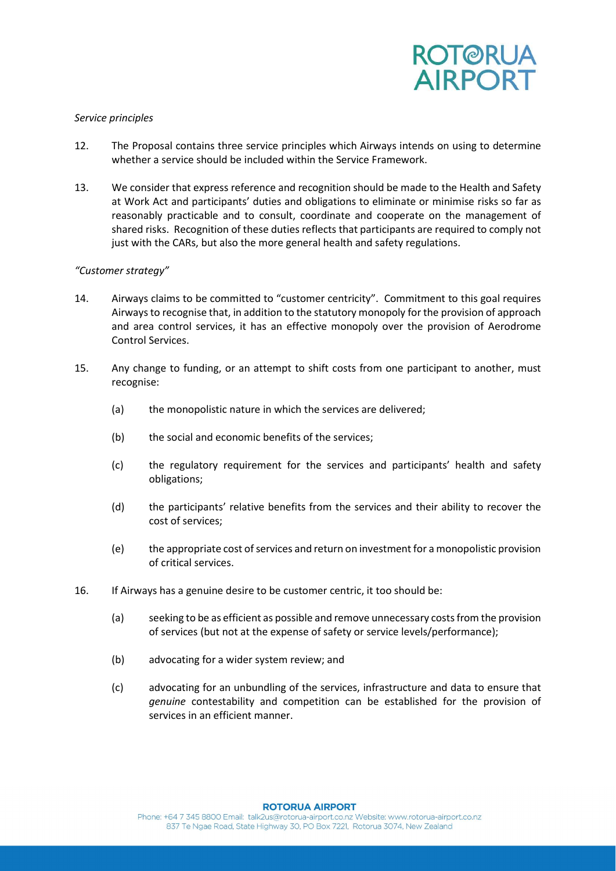

### Service principles

- 12. The Proposal contains three service principles which Airways intends on using to determine whether a service should be included within the Service Framework.
- 13. We consider that express reference and recognition should be made to the Health and Safety at Work Act and participants' duties and obligations to eliminate or minimise risks so far as reasonably practicable and to consult, coordinate and cooperate on the management of shared risks. Recognition of these duties reflects that participants are required to comply not just with the CARs, but also the more general health and safety regulations.

# "Customer strategy"

- 14. Airways claims to be committed to "customer centricity". Commitment to this goal requires Airways to recognise that, in addition to the statutory monopoly for the provision of approach and area control services, it has an effective monopoly over the provision of Aerodrome Control Services.
- 15. Any change to funding, or an attempt to shift costs from one participant to another, must recognise:
	- (a) the monopolistic nature in which the services are delivered;
	- (b) the social and economic benefits of the services;
	- (c) the regulatory requirement for the services and participants' health and safety obligations;
	- (d) the participants' relative benefits from the services and their ability to recover the cost of services;
	- (e) the appropriate cost of services and return on investment for a monopolistic provision of critical services.
- 16. If Airways has a genuine desire to be customer centric, it too should be:
	- (a) seeking to be as efficient as possible and remove unnecessary costs from the provision of services (but not at the expense of safety or service levels/performance);
	- (b) advocating for a wider system review; and
	- (c) advocating for an unbundling of the services, infrastructure and data to ensure that genuine contestability and competition can be established for the provision of services in an efficient manner.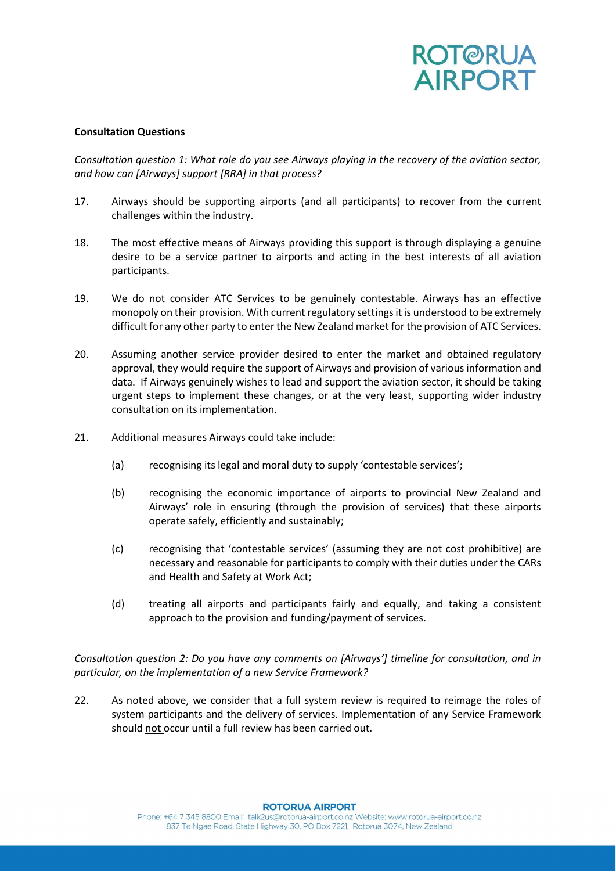

# Consultation Questions

Consultation question 1: What role do you see Airways playing in the recovery of the aviation sector, and how can [Airways] support [RRA] in that process?

- 17. Airways should be supporting airports (and all participants) to recover from the current challenges within the industry.
- 18. The most effective means of Airways providing this support is through displaying a genuine desire to be a service partner to airports and acting in the best interests of all aviation participants.
- 19. We do not consider ATC Services to be genuinely contestable. Airways has an effective monopoly on their provision. With current regulatory settings it is understood to be extremely difficult for any other party to enter the New Zealand market for the provision of ATC Services.
- 20. Assuming another service provider desired to enter the market and obtained regulatory approval, they would require the support of Airways and provision of various information and data. If Airways genuinely wishes to lead and support the aviation sector, it should be taking urgent steps to implement these changes, or at the very least, supporting wider industry consultation on its implementation.
- 21. Additional measures Airways could take include:
	- (a) recognising its legal and moral duty to supply 'contestable services';
	- (b) recognising the economic importance of airports to provincial New Zealand and Airways' role in ensuring (through the provision of services) that these airports operate safely, efficiently and sustainably;
	- (c) recognising that 'contestable services' (assuming they are not cost prohibitive) are necessary and reasonable for participants to comply with their duties under the CARs and Health and Safety at Work Act;
	- (d) treating all airports and participants fairly and equally, and taking a consistent approach to the provision and funding/payment of services.

Consultation question 2: Do you have any comments on [Airways'] timeline for consultation, and in particular, on the implementation of a new Service Framework?

22. As noted above, we consider that a full system review is required to reimage the roles of system participants and the delivery of services. Implementation of any Service Framework should not occur until a full review has been carried out.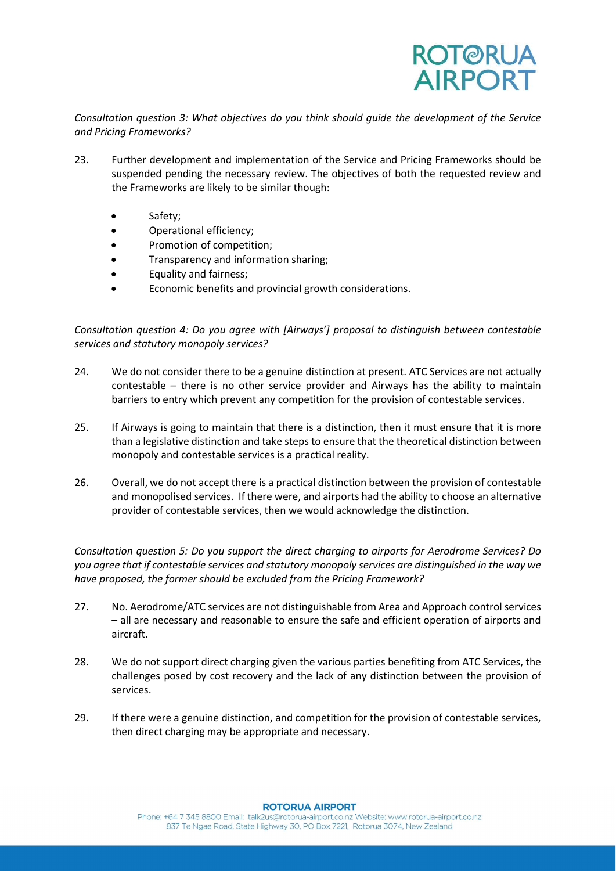

Consultation question 3: What objectives do you think should guide the development of the Service and Pricing Frameworks?

- 23. Further development and implementation of the Service and Pricing Frameworks should be suspended pending the necessary review. The objectives of both the requested review and the Frameworks are likely to be similar though:
	- Safety;
	- Operational efficiency;
	- Promotion of competition;
	- Transparency and information sharing;
	- Equality and fairness;
	- Economic benefits and provincial growth considerations.

Consultation question 4: Do you agree with [Airways'] proposal to distinguish between contestable services and statutory monopoly services?

- 24. We do not consider there to be a genuine distinction at present. ATC Services are not actually contestable – there is no other service provider and Airways has the ability to maintain barriers to entry which prevent any competition for the provision of contestable services.
- 25. If Airways is going to maintain that there is a distinction, then it must ensure that it is more than a legislative distinction and take steps to ensure that the theoretical distinction between monopoly and contestable services is a practical reality.
- 26. Overall, we do not accept there is a practical distinction between the provision of contestable and monopolised services. If there were, and airports had the ability to choose an alternative provider of contestable services, then we would acknowledge the distinction.

Consultation question 5: Do you support the direct charging to airports for Aerodrome Services? Do you agree that if contestable services and statutory monopoly services are distinguished in the way we have proposed, the former should be excluded from the Pricing Framework?

- 27. No. Aerodrome/ATC services are not distinguishable from Area and Approach control services – all are necessary and reasonable to ensure the safe and efficient operation of airports and aircraft.
- 28. We do not support direct charging given the various parties benefiting from ATC Services, the challenges posed by cost recovery and the lack of any distinction between the provision of services.
- 29. If there were a genuine distinction, and competition for the provision of contestable services, then direct charging may be appropriate and necessary.

### **ROTORUA AIRPORT**